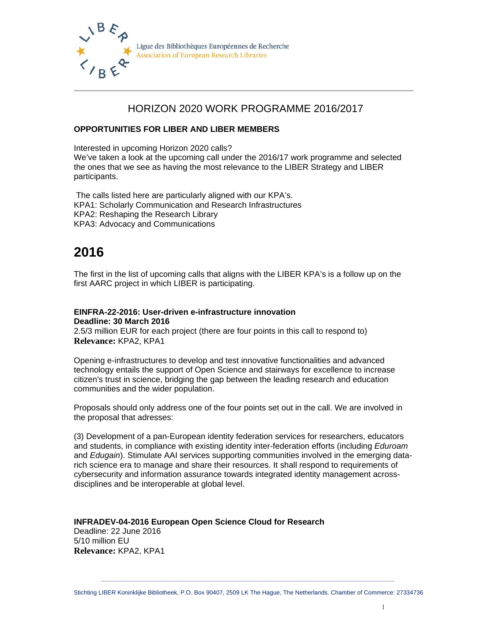

#### Ligue des Bibliothèques Européennes de Recherche **Association of European Research Libraries**

### HORIZON 2020 WORK PROGRAMME 2016/2017

#### **OPPORTUNITIES FOR LIBER AND LIBER MEMBERS**

Interested in upcoming Horizon 2020 calls? We've taken a look at the upcoming call under the 2016/17 work programme and selected the ones that we see as having the most relevance to the LIBER Strategy and LIBER participants.

 The calls listed here are particularly aligned with our KPA's. KPA1: Scholarly Communication and Research Infrastructures KPA2: Reshaping the Research Library KPA3: Advocacy and Communications

# **2016**

The first in the list of upcoming calls that aligns with the LIBER KPA's is a follow up on the first AARC project in which LIBER is participating.

#### **EINFRA-22-2016: User-driven e-infrastructure innovation Deadline: 30 March 2016**

2.5/3 million EUR for each project (there are four points in this call to respond to) **Relevance:** KPA2, KPA1

Opening e-infrastructures to develop and test innovative functionalities and advanced technology entails the support of Open Science and stairways for excellence to increase citizen's trust in science, bridging the gap between the leading research and education communities and the wider population.

Proposals should only address one of the four points set out in the call. We are involved in the proposal that adresses:

(3) Development of a pan-European identity federation services for researchers, educators and students, in compliance with existing identity inter-federation efforts (including *Eduroam*  and *Edugain*). Stimulate AAI services supporting communities involved in the emerging datarich science era to manage and share their resources. It shall respond to requirements of cybersecurity and information assurance towards integrated identity management acrossdisciplines and be interoperable at global level.

**INFRADEV-04-2016 European Open Science Cloud for Research**  Deadline: 22 June 2016 5/10 million EU **Relevance:** KPA2, KPA1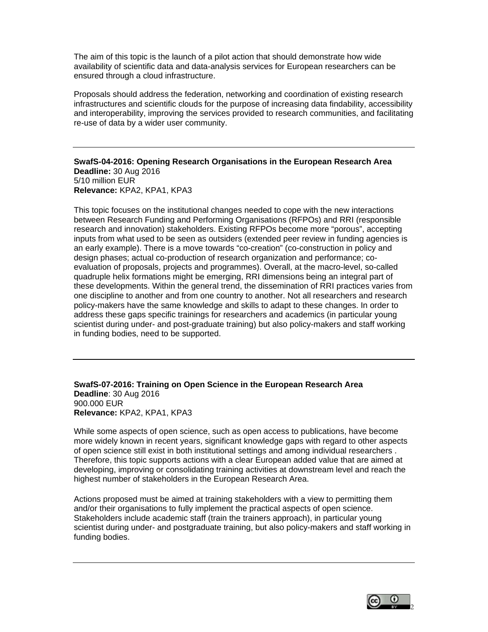The aim of this topic is the launch of a pilot action that should demonstrate how wide availability of scientific data and data-analysis services for European researchers can be ensured through a cloud infrastructure.

Proposals should address the federation, networking and coordination of existing research infrastructures and scientific clouds for the purpose of increasing data findability, accessibility and interoperability, improving the services provided to research communities, and facilitating re-use of data by a wider user community.

**SwafS-04-2016: Opening Research Organisations in the European Research Area Deadline:** 30 Aug 2016 5/10 million EUR **Relevance:** KPA2, KPA1, KPA3

This topic focuses on the institutional changes needed to cope with the new interactions between Research Funding and Performing Organisations (RFPOs) and RRI (responsible research and innovation) stakeholders. Existing RFPOs become more "porous", accepting inputs from what used to be seen as outsiders (extended peer review in funding agencies is an early example). There is a move towards "co-creation" (co-construction in policy and design phases; actual co-production of research organization and performance; coevaluation of proposals, projects and programmes). Overall, at the macro-level, so-called quadruple helix formations might be emerging, RRI dimensions being an integral part of these developments. Within the general trend, the dissemination of RRI practices varies from one discipline to another and from one country to another. Not all researchers and research policy-makers have the same knowledge and skills to adapt to these changes. In order to address these gaps specific trainings for researchers and academics (in particular young scientist during under- and post-graduate training) but also policy-makers and staff working in funding bodies, need to be supported.

**SwafS-07-2016: Training on Open Science in the European Research Area Deadline**: 30 Aug 2016 900.000 EUR **Relevance:** KPA2, KPA1, KPA3

While some aspects of open science, such as open access to publications, have become more widely known in recent years, significant knowledge gaps with regard to other aspects of open science still exist in both institutional settings and among individual researchers . Therefore, this topic supports actions with a clear European added value that are aimed at developing, improving or consolidating training activities at downstream level and reach the highest number of stakeholders in the European Research Area.

Actions proposed must be aimed at training stakeholders with a view to permitting them and/or their organisations to fully implement the practical aspects of open science. Stakeholders include academic staff (train the trainers approach), in particular young scientist during under- and postgraduate training, but also policy-makers and staff working in funding bodies.

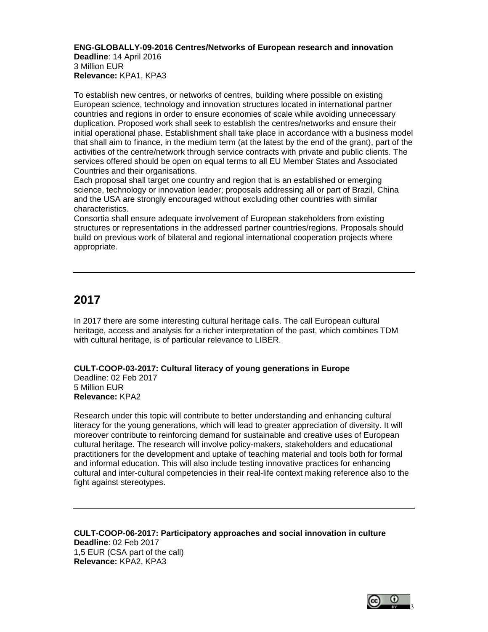#### **ENG-GLOBALLY-09-2016 Centres/Networks of European research and innovation Deadline**: 14 April 2016

3 Million EUR **Relevance:** KPA1, KPA3

To establish new centres, or networks of centres, building where possible on existing European science, technology and innovation structures located in international partner countries and regions in order to ensure economies of scale while avoiding unnecessary duplication. Proposed work shall seek to establish the centres/networks and ensure their initial operational phase. Establishment shall take place in accordance with a business model that shall aim to finance, in the medium term (at the latest by the end of the grant), part of the activities of the centre/network through service contracts with private and public clients. The services offered should be open on equal terms to all EU Member States and Associated Countries and their organisations.

Each proposal shall target one country and region that is an established or emerging science, technology or innovation leader; proposals addressing all or part of Brazil, China and the USA are strongly encouraged without excluding other countries with similar characteristics.

Consortia shall ensure adequate involvement of European stakeholders from existing structures or representations in the addressed partner countries/regions. Proposals should build on previous work of bilateral and regional international cooperation projects where appropriate.

## **2017**

In 2017 there are some interesting cultural heritage calls. The call European cultural heritage, access and analysis for a richer interpretation of the past, which combines TDM with cultural heritage, is of particular relevance to LIBER.

**CULT-COOP-03-2017: Cultural literacy of young generations in Europe**  Deadline: 02 Feb 2017 5 Million EUR **Relevance:** KPA2

Research under this topic will contribute to better understanding and enhancing cultural literacy for the young generations, which will lead to greater appreciation of diversity. It will moreover contribute to reinforcing demand for sustainable and creative uses of European cultural heritage. The research will involve policy-makers, stakeholders and educational practitioners for the development and uptake of teaching material and tools both for formal and informal education. This will also include testing innovative practices for enhancing cultural and inter-cultural competencies in their real-life context making reference also to the fight against stereotypes.

**CULT-COOP-06-2017: Participatory approaches and social innovation in culture Deadline**: 02 Feb 2017 1,5 EUR (CSA part of the call) **Relevance:** KPA2, KPA3